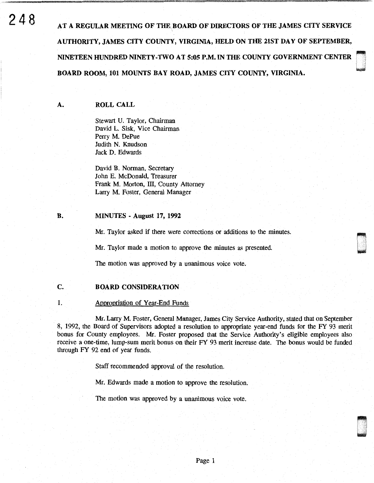$248$  AT a regular meeting of the board of directors of the james city service AUTHORITY, JAMES CITY COUNTY, VIRGINIA, HELD ON THE 21ST DAY OF SEPTEMBER, NINETEEN HUNDRED NINETY-TWO AT 5:05 P.M. IN THE COUNTY GOVERNMENT CENTER<br>BOARD ROOM, 101 MOUNTS BAY ROAD, JAMES CITY COUNTY, VIRGINIA.

### A. ROLL CALL

Stewart U. Taylor, Chairman David L. Sisk, Vice Chairman Perry M. DePue Judith N. Knudson Jack D. Edwards

David B. Norman, Secretary John E. McDonald, Treasurer Frank M. Morton, III, County Attorney Larry M. Foster, General Manager

#### B. MINUTES - August 17, 1992

Mr. Taylor asked if there were corrections or additions to the minutes.

an<br>Dianan

~ i<br>André

Mr. Taylor made a motion to approve the minutes as presented.

The motion was approved by a unanimous voice vote.

# C. BOARD CONSIDERATION

# 1. Appropriation of Year-End Funds

Mr. Larry M Foster, General Manager, James City Service Authority, stated that on September 8, 1992, the Board of Supervisors adopted a resolution to appropriate year-end funds for the FY 93 merit bonus for County employees. Mr. Foster proposed that the Service Authority's eligible employees also receive a one-time, lump-sum merit bonus on their FY 93 merit increase date. The bonus would be funded through FY 92 end of year funds.

Staff recommended approval of the resolution.

Mr. Edwards made a motion to approve the resolution.

The motion was approved by a unanimous voice vote.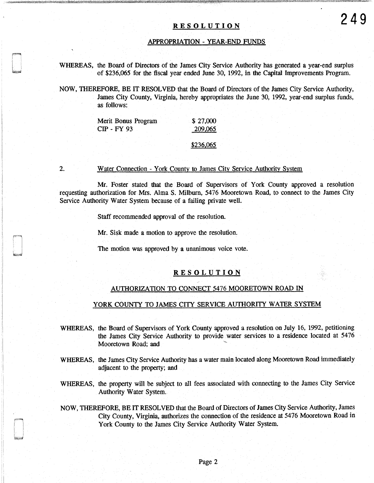# RESOLUTION **249**

#### APPROPRIATION - YEAR-END FUNDS

WHEREAS, the Board of Directors of the James City Service Authority has generated a year-end surplus of \$236,065 for the fiscal year ended June 30, 1992, in the Capital Improvements Program.

NOW, THEREFORE, BE IT RESOLVED that the Board of Directors of the James City Service Authority, James City County, Virginia, hereby appropriates the June 30, 1992, year-end surplus funds, as follows:

| Merit Bonus Program | \$27,000 |
|---------------------|----------|
| <b>CIP - FY 93</b>  | 209,065  |
|                     |          |

\$236,065

2.

:I

1i ,,

#### Water Connection - York County to James City Service Authority System

Mr. Foster stated that the Board of Supervisors of York County approved a resolution requesting authorization for Mrs. Alma S. Milburn, 5476 Mooretown Road, to connect to the James City Service Authority Water System because of a failing private well.

Staff recommended approval of the resolution.

Mr. Sisk made a motion to approve the resolution.

The motion was approved by a unanimous voice vote.

# **RESOLUTION**

#### AUTHORIZATION TO CONNECT 5476 MOORETOWN ROAD IN

#### YORK COUNTY TO JAMES CITY SERVICE AUTHORITY WATER SYSTEM

WHEREAS, the Board of Supervisors of York County approved a resolution on July 16, 1992, petitioning the James City Service Authority to provide water services to a residence located at 5476 Mooretown Road; and

- WHEREAS, the James City Service Authority has a water main located along Mooretown Road immediately adjacent to the property; and
- WHEREAS, the property will be subject to all fees associated with connecting to the James City Service Authority Water System.
- NOW, THEREFORE, BE IT RESOLVED that the Board of Directors of James City Service Authority, James City County, Virginia, authorizes the connection of the residence at 5476 Mooretown Road in York County to the James City Service Authority Water System.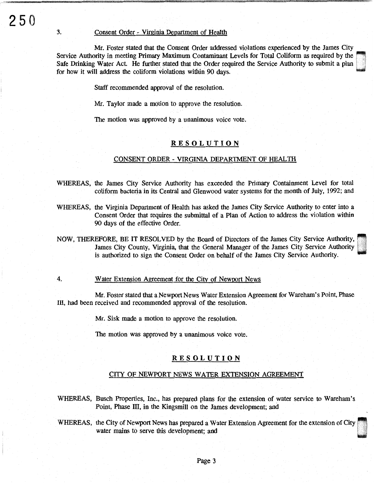### 3. Consent Order - Virginia Department of Health

Mr. Foster stated that the Consent Order addressed violations experienced by the James City Service Authority in meeting Primary Maximum Contaminant Levels for Total Coliform as required by the Safe Drinking Water Act. He further stated that the Order required the Service Authority to submit a plan for how it will address the coliform violations within 90 days.

Staff recommended approval of the resolution.

Mr. Taylor made a motion to approve the resolution.

The motion was approved by a unanimous voice vote.

# RESOLUTION

#### CONSENT ORDER - VIRGINIA DEPARTMENT OF HEALTH

- WHEREAS, the James City Service Authority has exceeded the Primary Containment Level for total coliform bacteria in its Central and Glenwood water systems for the month of July, 1992; and
- WHEREAS, the Virginia Department of Health has asked the James City Service Authority to enter into a Consent Order that requires the submittal of a Plan of Action to address the violation within 90 days of the effective Order.
- NOW, THEREFORE, BE IT RESOLVED by the Board of Directors of the James City Service Authority,~ James City County, Virginia, that the General Manager of the James City Service Authority is authorized to sign the Consent Order on behalf of the James City Service Authority.
- 4. Water Extension Agreement for the City of Newport News

Mr. Foster stated that a Newport News Water Extension Agreement for Wareham's Point, Phase III, had been received and recommended approval of the resolution.

Mr. Sisk made a motion to approve the resolution.

The motion was approved by a unanimous voice vote.

#### RESOLUTION

#### CITY OF NEWPORT NEWS WATER EXTENSION AGREEMENT

WHEREAS, Busch Properties, Inc., has prepared plans for the extension of water service to Wareham's Point, Phase III, in the Kingsmill on the James development; and

WHEREAS, the City of Newport News has prepared a Water Extension Agreement for the extension of City water mains to serve this development; and